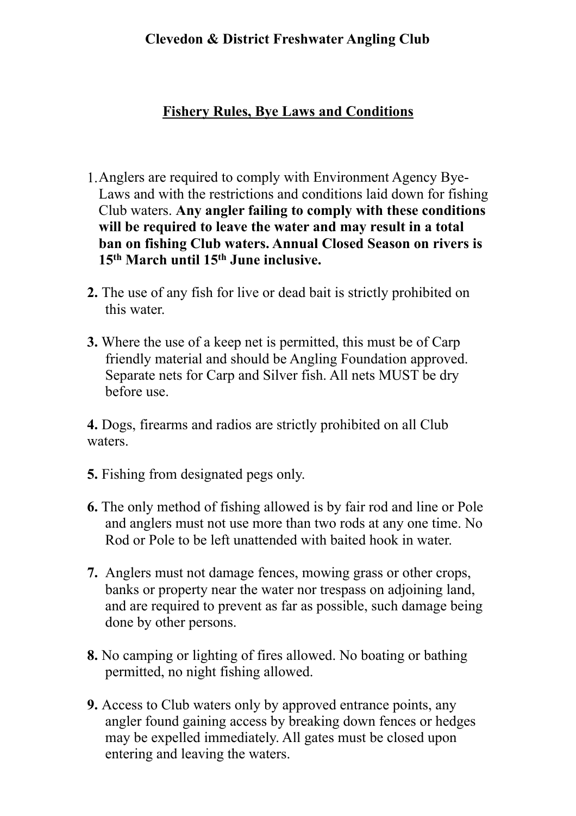## **Clevedon & District Freshwater Angling Club**

## **Fishery Rules, Bye Laws and Conditions**

- 1.Anglers are required to comply with Environment Agency Bye-Laws and with the restrictions and conditions laid down for fishing Club waters. **Any angler failing to comply with these conditions will be required to leave the water and may result in a total ban on fishing Club waters. Annual Closed Season on rivers is 15th March until 15th June inclusive.**
- **2.** The use of any fish for live or dead bait is strictly prohibited on this water.
- **3.** Where the use of a keep net is permitted, this must be of Carp friendly material and should be Angling Foundation approved. Separate nets for Carp and Silver fish. All nets MUST be dry before use.

**4.** Dogs, firearms and radios are strictly prohibited on all Club waters.

- **5.** Fishing from designated pegs only.
- **6.** The only method of fishing allowed is by fair rod and line or Pole and anglers must not use more than two rods at any one time. No Rod or Pole to be left unattended with baited hook in water.
- **7.** Anglers must not damage fences, mowing grass or other crops, banks or property near the water nor trespass on adjoining land, and are required to prevent as far as possible, such damage being done by other persons.
- **8.** No camping or lighting of fires allowed. No boating or bathing permitted, no night fishing allowed.
- **9.** Access to Club waters only by approved entrance points, any angler found gaining access by breaking down fences or hedges may be expelled immediately. All gates must be closed upon entering and leaving the waters.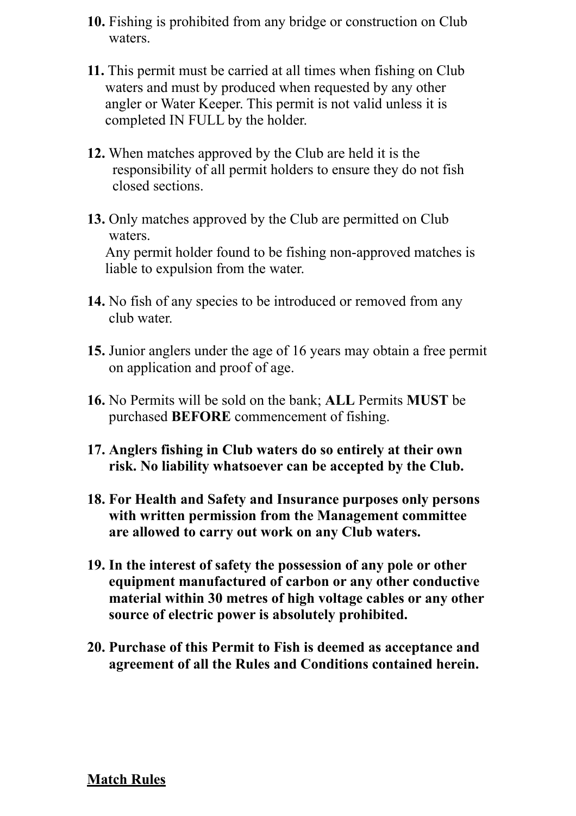- **10.** Fishing is prohibited from any bridge or construction on Club waters.
- **11.** This permit must be carried at all times when fishing on Club waters and must by produced when requested by any other angler or Water Keeper. This permit is not valid unless it is completed IN FULL by the holder.
- **12.** When matches approved by the Club are held it is the responsibility of all permit holders to ensure they do not fish closed sections.
- **13.** Only matches approved by the Club are permitted on Club waters. Any permit holder found to be fishing non-approved matches is liable to expulsion from the water.
- **14.** No fish of any species to be introduced or removed from any club water.
- **15.** Junior anglers under the age of 16 years may obtain a free permit on application and proof of age.
- **16.** No Permits will be sold on the bank; **ALL** Permits **MUST** be purchased **BEFORE** commencement of fishing.
- **17. Anglers fishing in Club waters do so entirely at their own risk. No liability whatsoever can be accepted by the Club.**
- **18. For Health and Safety and Insurance purposes only persons with written permission from the Management committee are allowed to carry out work on any Club waters.**
- **19. In the interest of safety the possession of any pole or other equipment manufactured of carbon or any other conductive material within 30 metres of high voltage cables or any other source of electric power is absolutely prohibited.**
- **20. Purchase of this Permit to Fish is deemed as acceptance and agreement of all the Rules and Conditions contained herein.**

## **Match Rules**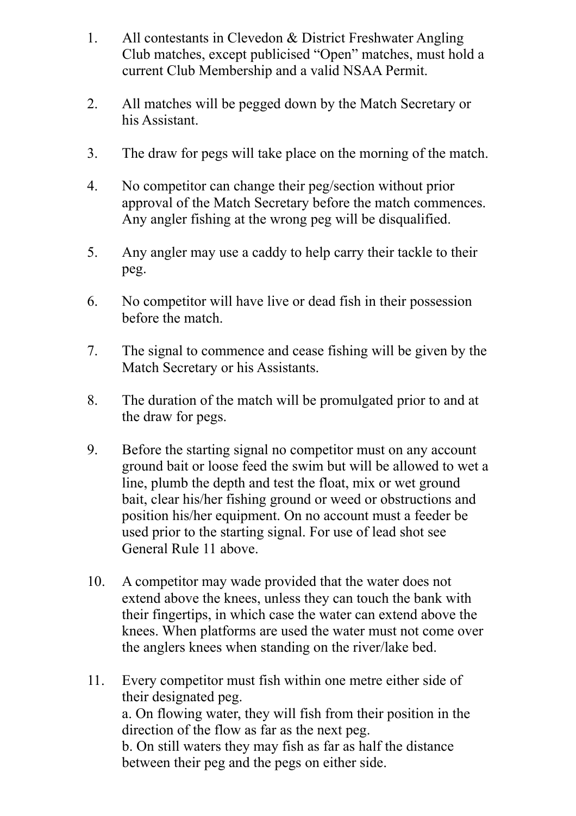- 1. All contestants in Clevedon & District Freshwater Angling Club matches, except publicised "Open" matches, must hold a current Club Membership and a valid NSAA Permit.
- 2. All matches will be pegged down by the Match Secretary or his Assistant.
- 3. The draw for pegs will take place on the morning of the match.
- 4. No competitor can change their peg/section without prior approval of the Match Secretary before the match commences. Any angler fishing at the wrong peg will be disqualified.
- 5. Any angler may use a caddy to help carry their tackle to their peg.
- 6. No competitor will have live or dead fish in their possession before the match.
- 7. The signal to commence and cease fishing will be given by the Match Secretary or his Assistants.
- 8. The duration of the match will be promulgated prior to and at the draw for pegs.
- 9. Before the starting signal no competitor must on any account ground bait or loose feed the swim but will be allowed to wet a line, plumb the depth and test the float, mix or wet ground bait, clear his/her fishing ground or weed or obstructions and position his/her equipment. On no account must a feeder be used prior to the starting signal. For use of lead shot see General Rule 11 above.
- 10. A competitor may wade provided that the water does not extend above the knees, unless they can touch the bank with their fingertips, in which case the water can extend above the knees. When platforms are used the water must not come over the anglers knees when standing on the river/lake bed.
- 11. Every competitor must fish within one metre either side of their designated peg. a. On flowing water, they will fish from their position in the direction of the flow as far as the next peg. b. On still waters they may fish as far as half the distance between their peg and the pegs on either side.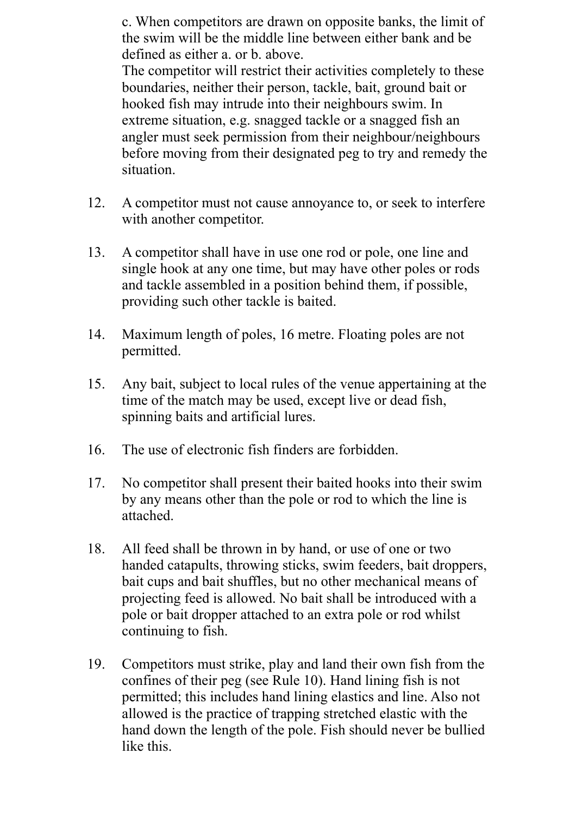c. When competitors are drawn on opposite banks, the limit of the swim will be the middle line between either bank and be defined as either a. or b. above.

 The competitor will restrict their activities completely to these boundaries, neither their person, tackle, bait, ground bait or hooked fish may intrude into their neighbours swim. In extreme situation, e.g. snagged tackle or a snagged fish an angler must seek permission from their neighbour/neighbours before moving from their designated peg to try and remedy the situation.

- 12. A competitor must not cause annoyance to, or seek to interfere with another competitor.
- 13. A competitor shall have in use one rod or pole, one line and single hook at any one time, but may have other poles or rods and tackle assembled in a position behind them, if possible, providing such other tackle is baited.
- 14. Maximum length of poles, 16 metre. Floating poles are not permitted.
- 15. Any bait, subject to local rules of the venue appertaining at the time of the match may be used, except live or dead fish, spinning baits and artificial lures.
- 16. The use of electronic fish finders are forbidden.
- 17. No competitor shall present their baited hooks into their swim by any means other than the pole or rod to which the line is attached.
- 18. All feed shall be thrown in by hand, or use of one or two handed catapults, throwing sticks, swim feeders, bait droppers, bait cups and bait shuffles, but no other mechanical means of projecting feed is allowed. No bait shall be introduced with a pole or bait dropper attached to an extra pole or rod whilst continuing to fish.
- 19. Competitors must strike, play and land their own fish from the confines of their peg (see Rule 10). Hand lining fish is not permitted; this includes hand lining elastics and line. Also not allowed is the practice of trapping stretched elastic with the hand down the length of the pole. Fish should never be bullied like this.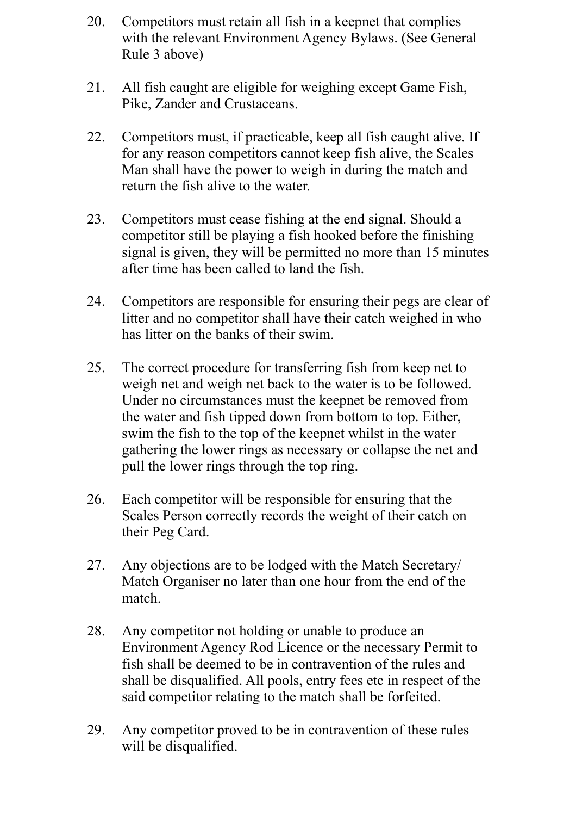- 20. Competitors must retain all fish in a keepnet that complies with the relevant Environment Agency Bylaws. (See General Rule 3 above)
- 21. All fish caught are eligible for weighing except Game Fish, Pike, Zander and Crustaceans.
- 22. Competitors must, if practicable, keep all fish caught alive. If for any reason competitors cannot keep fish alive, the Scales Man shall have the power to weigh in during the match and return the fish alive to the water.
- 23. Competitors must cease fishing at the end signal. Should a competitor still be playing a fish hooked before the finishing signal is given, they will be permitted no more than 15 minutes after time has been called to land the fish.
- 24. Competitors are responsible for ensuring their pegs are clear of litter and no competitor shall have their catch weighed in who has litter on the banks of their swim.
- 25. The correct procedure for transferring fish from keep net to weigh net and weigh net back to the water is to be followed. Under no circumstances must the keepnet be removed from the water and fish tipped down from bottom to top. Either, swim the fish to the top of the keepnet whilst in the water gathering the lower rings as necessary or collapse the net and pull the lower rings through the top ring.
- 26. Each competitor will be responsible for ensuring that the Scales Person correctly records the weight of their catch on their Peg Card.
- 27. Any objections are to be lodged with the Match Secretary/ Match Organiser no later than one hour from the end of the match.
- 28. Any competitor not holding or unable to produce an Environment Agency Rod Licence or the necessary Permit to fish shall be deemed to be in contravention of the rules and shall be disqualified. All pools, entry fees etc in respect of the said competitor relating to the match shall be forfeited.
- 29. Any competitor proved to be in contravention of these rules will be disqualified.